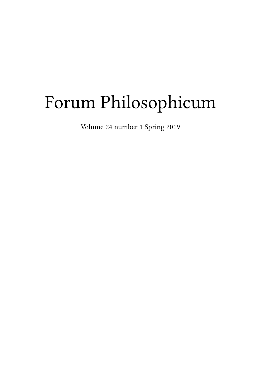## Forum Philosophicum

Volume 24 number 1 Spring 2019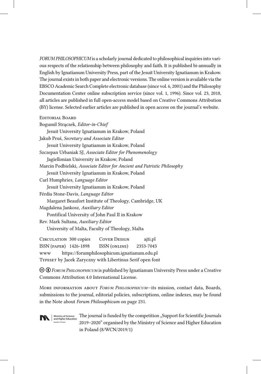*FORUM PHILOSOPHICUM* is a scholarly journal dedicated to philosophical inquiries into various respects of the relationship between philosophy and faith. It is published bi-annually in English by Ignatianum University Press, part of the Jesuit University Ignatianum in Krakow. The journal exists in both paper and electronic versions. The online version is available via the EBSCO Academic Search Complete electronic database (since vol. 6, 2001) and the Philosophy Documentation Center online subscription service (since vol. 1, 1996). Since vol. 23, 2018, all articles are published in full open-access model based on Creative Commons Attribution (BY) license. Selected earlier articles are published in open access on the journal's website.

## Editorial Board

| Bogumił Strączek, Editor-in-Chief                                                           |
|---------------------------------------------------------------------------------------------|
| Jesuit University Ignatianum in Krakow, Poland                                              |
| Jakub Pruś, Secretary and Associate Editor                                                  |
| Jesuit University Ignatianum in Krakow, Poland                                              |
| Szczepan Urbaniak SJ, Associate Editor for Phenomenology                                    |
| Jagiellonian University in Krakow, Poland                                                   |
| Marcin Podbielski, Associate Editor for Ancient and Patristic Philosophy                    |
| Jesuit University Ignatianum in Krakow, Poland                                              |
| Carl Humphries, Language Editor                                                             |
| Jesuit University Ignatianum in Krakow, Poland                                              |
| Férdia Stone-Davis, Language Editor                                                         |
| Margaret Beaufort Institute of Theology, Cambridge, UK                                      |
| Magdalena Jankosz, Auxiliary Editor                                                         |
| Pontifical University of John Paul II in Krakow                                             |
| Rev. Mark Sultana, Auxiliary Editor                                                         |
| University of Malta, Faculty of Theology, Malta                                             |
| $C_{\text{IDCHI}}$ $\mu_{\text{FION}}$ 200 sonics $C_{\text{OVFD}}$ Destey<br>$\sim$ iti nl |

Circulation 300 copies Cover Design ajti.pl ISSN (paper) 1426-1898 ISSN (online) 2353-7043 www https://forumphilosophicum.ignatianum.edu.pl Typeset by Jacek Zaryczny with Libertinus Serif open font

 $\odot$   $\odot$  *Forum PHILOSOPHICUM* is published by Ignatianum University Press under a Creative Commons Attribution 4.0 International License.

More information about *Forum Philosophicum*—its mission, contact data, Boards, submissions to the journal, editorial policies, subscriptions, online indexes, may be found in the Note about *Forum Philosophicum* on page 231.



**Republic of Poland**

The journal is funded by the competition "Support for Scientific Journals 2019–2020" organised by the Ministry of Science and Higher Education in Poland (8/WCN/2019/1) **Ministry of Science and Higher Education**